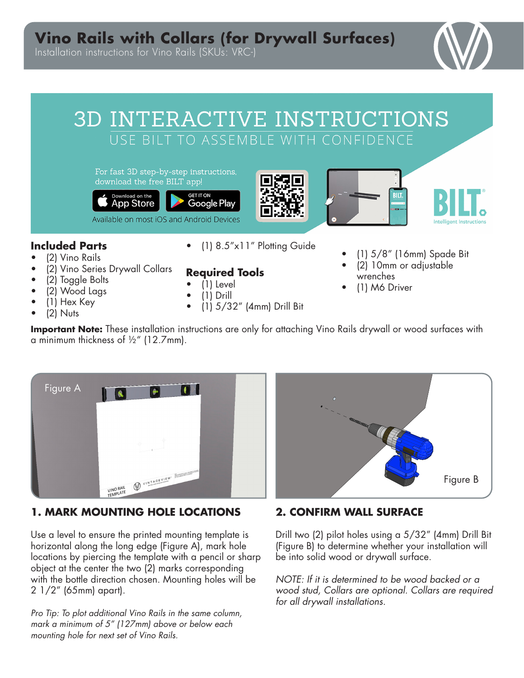# **Vino Rails with Collars (for Drywall Surfaces)**

Installation instructions for Vino Rails (SKUs: VRC-)

# 3D INTERACTIVE INSTRUCTIONS USE BILT TO ASSEMBLE WITH CONFIDENCE

For fast 3D step-by-step instructions, download the free BILT app!









## **Included Parts**

- (2) Vino Rails
- (2) Vino Series Drywall Collars
- (2) Toggle Bolts
- (2) Wood Lags
- (1) Hex Key
- (2) Nuts

• (1) 8.5"x11" Plotting Guide

## **Required Tools**

- $\bullet$  (1) Level • (1) Drill
- 
- (1) 5/32" (4mm) Drill Bit
- (1) 5/8" (16mm) Spade Bit
- (2) 10mm or adjustable wrenches
- (1) M6 Driver

**Important Note:** These installation instructions are only for attaching Vino Rails drywall or wood surfaces with a minimum thickness of ½" (12.7mm).



## **1. MARK MOUNTING HOLE LOCATIONS**

Use a level to ensure the printed mounting template is horizontal along the long edge (Figure A), mark hole locations by piercing the template with a pencil or sharp object at the center the two (2) marks corresponding with the bottle direction chosen. Mounting holes will be 2 1/2" (65mm) apart).

*Pro Tip: To plot additional Vino Rails in the same column, mark a minimum of 5" (127mm) above or below each mounting hole for next set of Vino Rails.* 



## **2. CONFIRM WALL SURFACE**

Drill two (2) pilot holes using a 5/32" (4mm) Drill Bit (Figure B) to determine whether your installation will be into solid wood or drywall surface.

*NOTE: If it is determined to be wood backed or a wood stud, Collars are optional. Collars are required for all drywall installations.*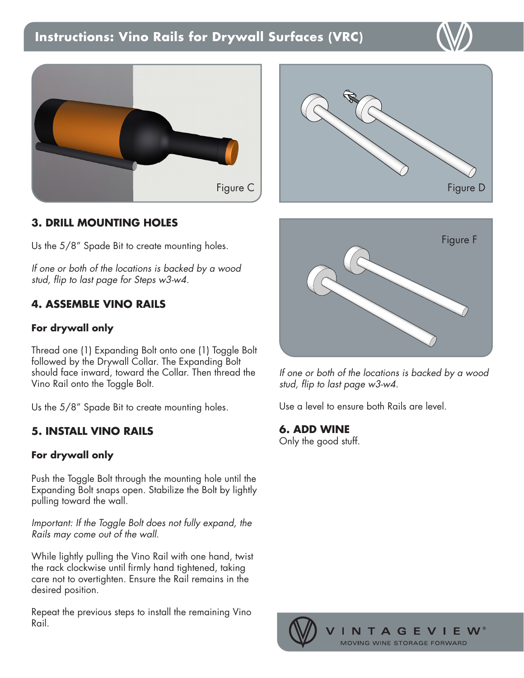## **Instructions: Vino Rails for Drywall Surfaces (VRC)**



## **3. DRILL MOUNTING HOLES**

Us the 5/8" Spade Bit to create mounting holes.

*If one or both of the locations is backed by a wood stud, flip to last page for Steps w3-w4.* 

## **4. ASSEMBLE VINO RAILS**

#### **For drywall only**

Thread one (1) Expanding Bolt onto one (1) Toggle Bolt followed by the Drywall Collar. The Expanding Bolt should face inward, toward the Collar. Then thread the Vino Rail onto the Toggle Bolt.

Us the 5/8" Spade Bit to create mounting holes.

## **5. INSTALL VINO RAILS**

#### **For drywall only**

Push the Toggle Bolt through the mounting hole until the Expanding Bolt snaps open. Stabilize the Bolt by lightly pulling toward the wall.

*Important: If the Toggle Bolt does not fully expand, the Rails may come out of the wall.*

While lightly pulling the Vino Rail with one hand, twist the rack clockwise until firmly hand tightened, taking care not to overtighten. Ensure the Rail remains in the desired position.

Repeat the previous steps to install the remaining Vino Rail.





*If one or both of the locations is backed by a wood stud, flip to last page w3-w4.* 

Use a level to ensure both Rails are level.

#### **6. ADD WINE**

Only the good stuff.